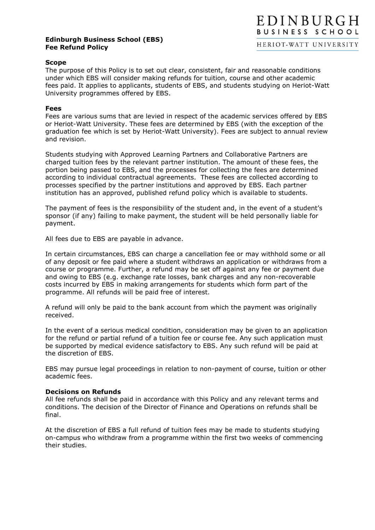## **Edinburgh Business School (EBS) Fee Refund Policy**

## **Scope**

The purpose of this Policy is to set out clear, consistent, fair and reasonable conditions under which EBS will consider making refunds for tuition, course and other academic fees paid. It applies to applicants, students of EBS, and students studying on Heriot-Watt University programmes offered by EBS.

## **Fees**

Fees are various sums that are levied in respect of the academic services offered by EBS or Heriot-Watt University. These fees are determined by EBS (with the exception of the graduation fee which is set by Heriot-Watt University). Fees are subject to annual review and revision.

Students studying with Approved Learning Partners and Collaborative Partners are charged tuition fees by the relevant partner institution. The amount of these fees, the portion being passed to EBS, and the processes for collecting the fees are determined according to individual contractual agreements. These fees are collected according to processes specified by the partner institutions and approved by EBS. Each partner institution has an approved, published refund policy which is available to students.

The payment of fees is the responsibility of the student and, in the event of a student's sponsor (if any) failing to make payment, the student will be held personally liable for payment.

All fees due to EBS are payable in advance.

In certain circumstances, EBS can charge a cancellation fee or may withhold some or all of any deposit or fee paid where a student withdraws an application or withdraws from a course or programme. Further, a refund may be set off against any fee or payment due and owing to EBS (e.g. exchange rate losses, bank charges and any non-recoverable costs incurred by EBS in making arrangements for students which form part of the programme. All refunds will be paid free of interest.

A refund will only be paid to the bank account from which the payment was originally received.

In the event of a serious medical condition, consideration may be given to an application for the refund or partial refund of a tuition fee or course fee. Any such application must be supported by medical evidence satisfactory to EBS. Any such refund will be paid at the discretion of EBS.

EBS may pursue legal proceedings in relation to non-payment of course, tuition or other academic fees.

## **Decisions on Refunds**

All fee refunds shall be paid in accordance with this Policy and any relevant terms and conditions. The decision of the Director of Finance and Operations on refunds shall be final.

At the discretion of EBS a full refund of tuition fees may be made to students studying on-campus who withdraw from a programme within the first two weeks of commencing their studies.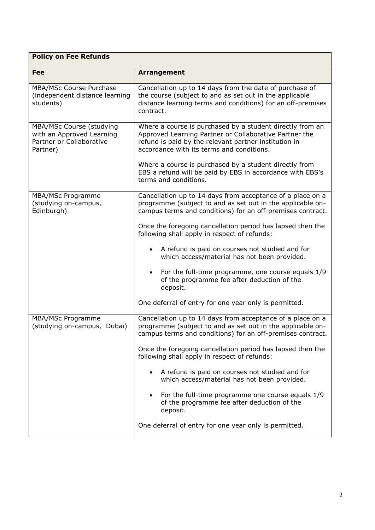| <b>Policy on Fee Refunds</b>                                                                  |                                                                                                                                                                                                                           |  |
|-----------------------------------------------------------------------------------------------|---------------------------------------------------------------------------------------------------------------------------------------------------------------------------------------------------------------------------|--|
| Fee                                                                                           | <b>Arrangement</b>                                                                                                                                                                                                        |  |
| MBA/MSc Course Purchase<br>(independent distance learning<br>students)                        | Cancellation up to 14 days from the date of purchase of<br>the course (subject to and as set out in the applicable<br>distance learning terms and conditions) for an off-premises<br>contract.                            |  |
| MBA/MSc Course (studying<br>with an Approved Learning<br>Partner or Collaborative<br>Partner) | Where a course is purchased by a student directly from an<br>Approved Learning Partner or Collaborative Partner the<br>refund is paid by the relevant partner institution in<br>accordance with its terms and conditions. |  |
|                                                                                               | Where a course is purchased by a student directly from<br>EBS a refund will be paid by EBS in accordance with EBS's<br>terms and conditions.                                                                              |  |
| MBA/MSc Programme<br>(studying on-campus,<br>Edinburgh)                                       | Cancellation up to 14 days from acceptance of a place on a<br>programme (subject to and as set out in the applicable on-<br>campus terms and conditions) for an off-premises contract.                                    |  |
|                                                                                               | Once the foregoing cancellation period has lapsed then the<br>following shall apply in respect of refunds:                                                                                                                |  |
|                                                                                               | A refund is paid on courses not studied and for<br>$\bullet$<br>which access/material has not been provided.                                                                                                              |  |
|                                                                                               | For the full-time programme, one course equals 1/9<br>$\bullet$<br>of the programme fee after deduction of the<br>deposit.                                                                                                |  |
|                                                                                               | One deferral of entry for one year only is permitted.                                                                                                                                                                     |  |
| MBA/MSc Programme<br>(studying on-campus, Dubai)                                              | Cancellation up to 14 days from acceptance of a place on a<br>programme (subject to and as set out in the applicable on-<br>campus terms and conditions) for an off-premises contract.                                    |  |
|                                                                                               | Once the foregoing cancellation period has lapsed then the<br>following shall apply in respect of refunds:                                                                                                                |  |
|                                                                                               | A refund is paid on courses not studied and for<br>which access/material has not been provided.                                                                                                                           |  |
|                                                                                               | For the full-time programme one course equals 1/9<br>of the programme fee after deduction of the<br>deposit.                                                                                                              |  |
|                                                                                               | One deferral of entry for one year only is permitted.                                                                                                                                                                     |  |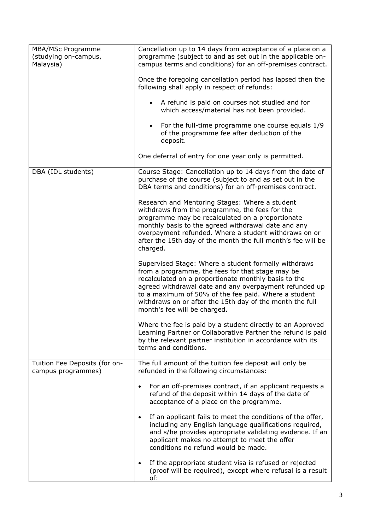| MBA/MSc Programme<br>(studying on-campus,<br>Malaysia) | Cancellation up to 14 days from acceptance of a place on a<br>programme (subject to and as set out in the applicable on-<br>campus terms and conditions) for an off-premises contract.                                                                                                                                                                                         |
|--------------------------------------------------------|--------------------------------------------------------------------------------------------------------------------------------------------------------------------------------------------------------------------------------------------------------------------------------------------------------------------------------------------------------------------------------|
|                                                        | Once the foregoing cancellation period has lapsed then the<br>following shall apply in respect of refunds:                                                                                                                                                                                                                                                                     |
|                                                        | A refund is paid on courses not studied and for<br>$\bullet$<br>which access/material has not been provided.                                                                                                                                                                                                                                                                   |
|                                                        | For the full-time programme one course equals 1/9<br>of the programme fee after deduction of the<br>deposit.                                                                                                                                                                                                                                                                   |
|                                                        | One deferral of entry for one year only is permitted.                                                                                                                                                                                                                                                                                                                          |
| DBA (IDL students)                                     | Course Stage: Cancellation up to 14 days from the date of<br>purchase of the course (subject to and as set out in the<br>DBA terms and conditions) for an off-premises contract.                                                                                                                                                                                               |
|                                                        | Research and Mentoring Stages: Where a student<br>withdraws from the programme, the fees for the<br>programme may be recalculated on a proportionate<br>monthly basis to the agreed withdrawal date and any<br>overpayment refunded. Where a student withdraws on or<br>after the 15th day of the month the full month's fee will be<br>charged.                               |
|                                                        | Supervised Stage: Where a student formally withdraws<br>from a programme, the fees for that stage may be<br>recalculated on a proportionate monthly basis to the<br>agreed withdrawal date and any overpayment refunded up<br>to a maximum of 50% of the fee paid. Where a student<br>withdraws on or after the 15th day of the month the full<br>month's fee will be charged. |
|                                                        | Where the fee is paid by a student directly to an Approved<br>Learning Partner or Collaborative Partner the refund is paid<br>by the relevant partner institution in accordance with its<br>terms and conditions.                                                                                                                                                              |
| Tuition Fee Deposits (for on-<br>campus programmes)    | The full amount of the tuition fee deposit will only be<br>refunded in the following circumstances:                                                                                                                                                                                                                                                                            |
|                                                        | For an off-premises contract, if an applicant requests a<br>$\bullet$<br>refund of the deposit within 14 days of the date of<br>acceptance of a place on the programme.                                                                                                                                                                                                        |
|                                                        | If an applicant fails to meet the conditions of the offer,<br>$\bullet$<br>including any English language qualifications required,<br>and s/he provides appropriate validating evidence. If an<br>applicant makes no attempt to meet the offer<br>conditions no refund would be made.                                                                                          |
|                                                        | If the appropriate student visa is refused or rejected<br>$\bullet$<br>(proof will be required), except where refusal is a result<br>of:                                                                                                                                                                                                                                       |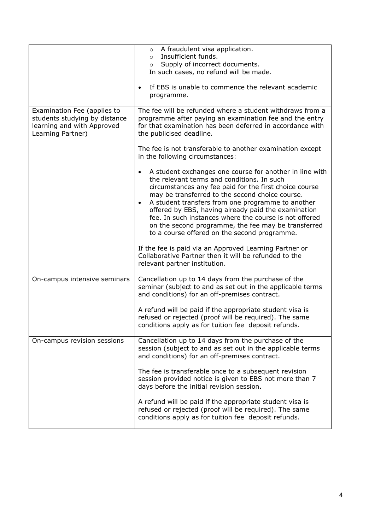|                                                                                                                 | A fraudulent visa application.<br>$\circ$<br>Insufficient funds.<br>$\circ$<br>Supply of incorrect documents.<br>$\circ$<br>In such cases, no refund will be made.<br>If EBS is unable to commence the relevant academic<br>$\bullet$<br>programme.                                                                                                                                                                                                                                                                       |
|-----------------------------------------------------------------------------------------------------------------|---------------------------------------------------------------------------------------------------------------------------------------------------------------------------------------------------------------------------------------------------------------------------------------------------------------------------------------------------------------------------------------------------------------------------------------------------------------------------------------------------------------------------|
| Examination Fee (applies to<br>students studying by distance<br>learning and with Approved<br>Learning Partner) | The fee will be refunded where a student withdraws from a<br>programme after paying an examination fee and the entry<br>for that examination has been deferred in accordance with<br>the publicised deadline.                                                                                                                                                                                                                                                                                                             |
|                                                                                                                 | The fee is not transferable to another examination except<br>in the following circumstances:                                                                                                                                                                                                                                                                                                                                                                                                                              |
|                                                                                                                 | A student exchanges one course for another in line with<br>$\bullet$<br>the relevant terms and conditions. In such<br>circumstances any fee paid for the first choice course<br>may be transferred to the second choice course.<br>A student transfers from one programme to another<br>$\bullet$<br>offered by EBS, having already paid the examination<br>fee. In such instances where the course is not offered<br>on the second programme, the fee may be transferred<br>to a course offered on the second programme. |
|                                                                                                                 | If the fee is paid via an Approved Learning Partner or<br>Collaborative Partner then it will be refunded to the<br>relevant partner institution.                                                                                                                                                                                                                                                                                                                                                                          |
| On-campus intensive seminars                                                                                    | Cancellation up to 14 days from the purchase of the<br>seminar (subject to and as set out in the applicable terms<br>and conditions) for an off-premises contract.                                                                                                                                                                                                                                                                                                                                                        |
|                                                                                                                 | A refund will be paid if the appropriate student visa is<br>refused or rejected (proof will be required). The same<br>conditions apply as for tuition fee deposit refunds.                                                                                                                                                                                                                                                                                                                                                |
| On-campus revision sessions                                                                                     | Cancellation up to 14 days from the purchase of the<br>session (subject to and as set out in the applicable terms<br>and conditions) for an off-premises contract.                                                                                                                                                                                                                                                                                                                                                        |
|                                                                                                                 | The fee is transferable once to a subsequent revision<br>session provided notice is given to EBS not more than 7<br>days before the initial revision session.                                                                                                                                                                                                                                                                                                                                                             |
|                                                                                                                 | A refund will be paid if the appropriate student visa is<br>refused or rejected (proof will be required). The same<br>conditions apply as for tuition fee deposit refunds.                                                                                                                                                                                                                                                                                                                                                |